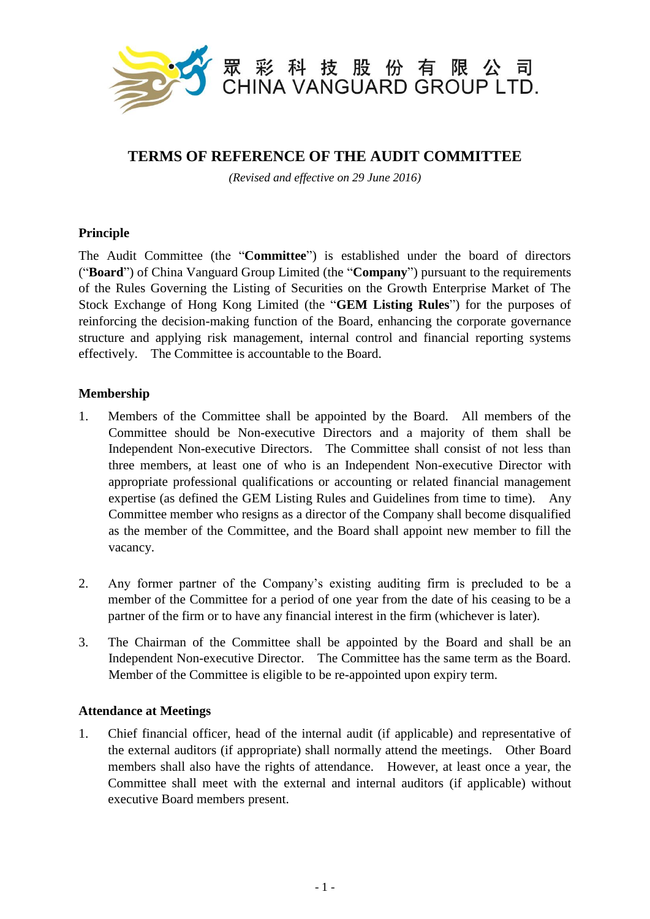

# **TERMS OF REFERENCE OF THE AUDIT COMMITTEE**

*(Revised and effective on 29 June 2016)*

## **Principle**

The Audit Committee (the "**Committee**") is established under the board of directors ("**Board**") of China Vanguard Group Limited (the "**Company**") pursuant to the requirements of the Rules Governing the Listing of Securities on the Growth Enterprise Market of The Stock Exchange of Hong Kong Limited (the "**GEM Listing Rules**") for the purposes of reinforcing the decision-making function of the Board, enhancing the corporate governance structure and applying risk management, internal control and financial reporting systems effectively. The Committee is accountable to the Board.

#### **Membership**

- 1. Members of the Committee shall be appointed by the Board. All members of the Committee should be Non-executive Directors and a majority of them shall be Independent Non-executive Directors. The Committee shall consist of not less than three members, at least one of who is an Independent Non-executive Director with appropriate professional qualifications or accounting or related financial management expertise (as defined the GEM Listing Rules and Guidelines from time to time). Any Committee member who resigns as a director of the Company shall become disqualified as the member of the Committee, and the Board shall appoint new member to fill the vacancy.
- 2. Any former partner of the Company's existing auditing firm is precluded to be a member of the Committee for a period of one year from the date of his ceasing to be a partner of the firm or to have any financial interest in the firm (whichever is later).
- 3. The Chairman of the Committee shall be appointed by the Board and shall be an Independent Non-executive Director. The Committee has the same term as the Board. Member of the Committee is eligible to be re-appointed upon expiry term.

## **Attendance at Meetings**

1. Chief financial officer, head of the internal audit (if applicable) and representative of the external auditors (if appropriate) shall normally attend the meetings. Other Board members shall also have the rights of attendance. However, at least once a year, the Committee shall meet with the external and internal auditors (if applicable) without executive Board members present.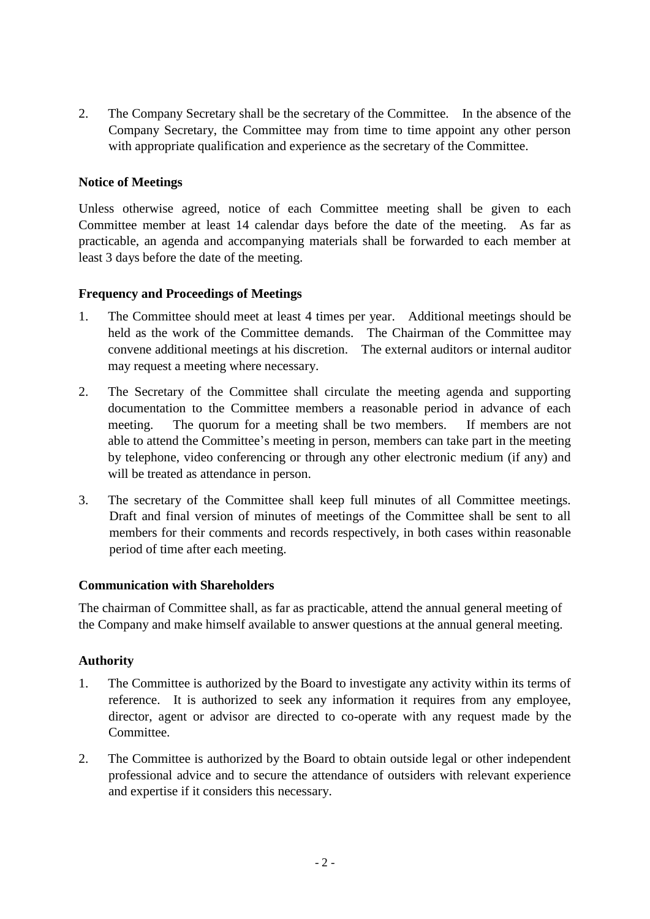2. The Company Secretary shall be the secretary of the Committee. In the absence of the Company Secretary, the Committee may from time to time appoint any other person with appropriate qualification and experience as the secretary of the Committee.

## **Notice of Meetings**

Unless otherwise agreed, notice of each Committee meeting shall be given to each Committee member at least 14 calendar days before the date of the meeting. As far as practicable, an agenda and accompanying materials shall be forwarded to each member at least 3 days before the date of the meeting.

## **Frequency and Proceedings of Meetings**

- 1. The Committee should meet at least 4 times per year. Additional meetings should be held as the work of the Committee demands. The Chairman of the Committee may convene additional meetings at his discretion. The external auditors or internal auditor may request a meeting where necessary.
- 2. The Secretary of the Committee shall circulate the meeting agenda and supporting documentation to the Committee members a reasonable period in advance of each meeting. The quorum for a meeting shall be two members. If members are not able to attend the Committee's meeting in person, members can take part in the meeting by telephone, video conferencing or through any other electronic medium (if any) and will be treated as attendance in person.
- 3. The secretary of the Committee shall keep full minutes of all Committee meetings. Draft and final version of minutes of meetings of the Committee shall be sent to all members for their comments and records respectively, in both cases within reasonable period of time after each meeting.

## **Communication with Shareholders**

The chairman of Committee shall, as far as practicable, attend the annual general meeting of the Company and make himself available to answer questions at the annual general meeting.

## **Authority**

- 1. The Committee is authorized by the Board to investigate any activity within its terms of reference. It is authorized to seek any information it requires from any employee, director, agent or advisor are directed to co-operate with any request made by the Committee.
- 2. The Committee is authorized by the Board to obtain outside legal or other independent professional advice and to secure the attendance of outsiders with relevant experience and expertise if it considers this necessary.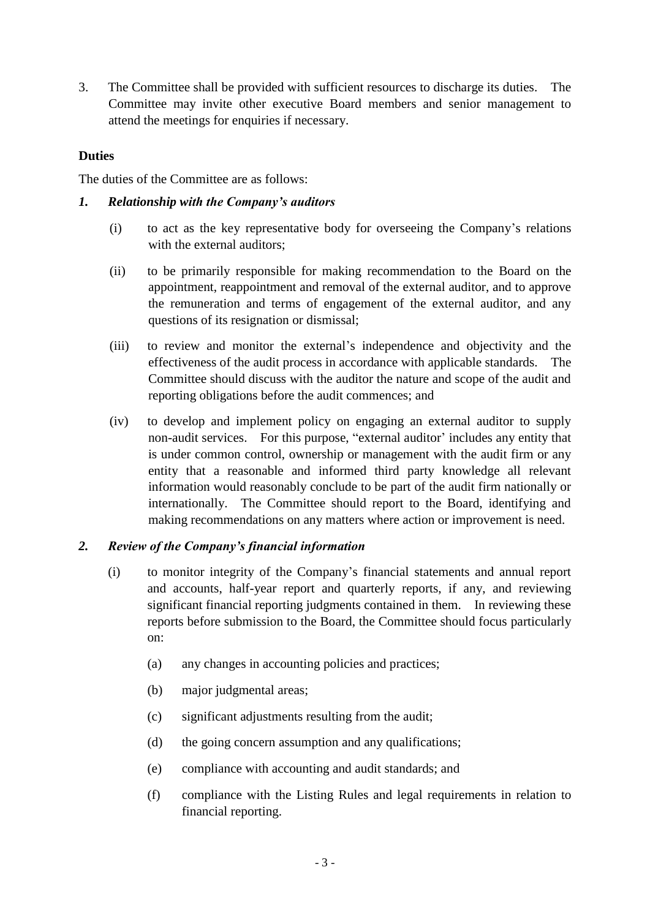3. The Committee shall be provided with sufficient resources to discharge its duties. The Committee may invite other executive Board members and senior management to attend the meetings for enquiries if necessary.

#### **Duties**

The duties of the Committee are as follows:

#### *1. Relationship with the Company's auditors*

- (i) to act as the key representative body for overseeing the Company's relations with the external auditors;
- (ii) to be primarily responsible for making recommendation to the Board on the appointment, reappointment and removal of the external auditor, and to approve the remuneration and terms of engagement of the external auditor, and any questions of its resignation or dismissal;
- (iii) to review and monitor the external's independence and objectivity and the effectiveness of the audit process in accordance with applicable standards. The Committee should discuss with the auditor the nature and scope of the audit and reporting obligations before the audit commences; and
- (iv) to develop and implement policy on engaging an external auditor to supply non-audit services. For this purpose, "external auditor' includes any entity that is under common control, ownership or management with the audit firm or any entity that a reasonable and informed third party knowledge all relevant information would reasonably conclude to be part of the audit firm nationally or internationally. The Committee should report to the Board, identifying and making recommendations on any matters where action or improvement is need.

## *2. Review of the Company's financial information*

- (i) to monitor integrity of the Company's financial statements and annual report and accounts, half-year report and quarterly reports, if any, and reviewing significant financial reporting judgments contained in them. In reviewing these reports before submission to the Board, the Committee should focus particularly on:
	- (a) any changes in accounting policies and practices;
	- (b) major judgmental areas;
	- (c) significant adjustments resulting from the audit;
	- (d) the going concern assumption and any qualifications;
	- (e) compliance with accounting and audit standards; and
	- (f) compliance with the Listing Rules and legal requirements in relation to financial reporting.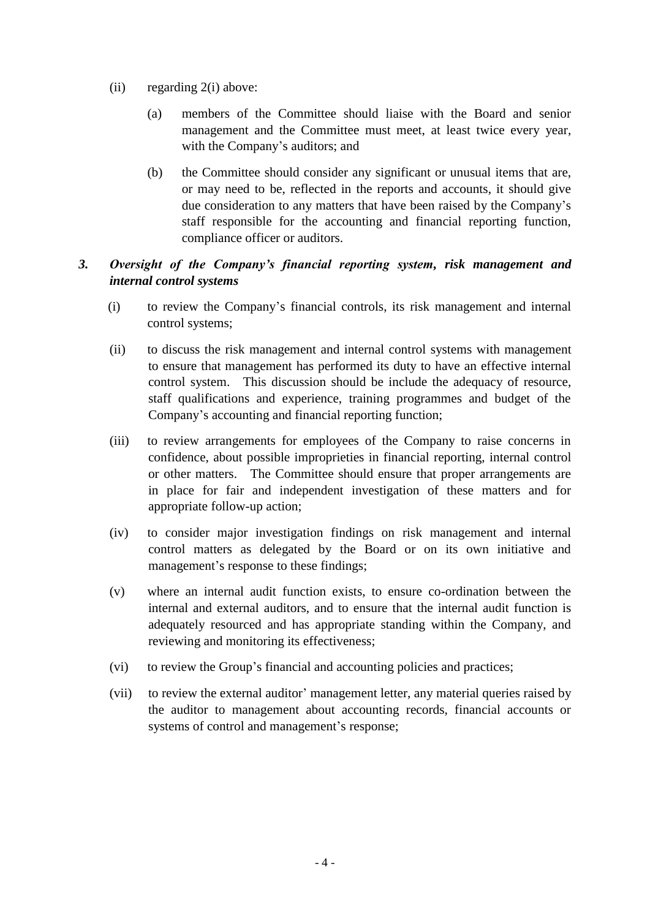- (ii) regarding 2(i) above:
	- (a) members of the Committee should liaise with the Board and senior management and the Committee must meet, at least twice every year, with the Company's auditors; and
	- (b) the Committee should consider any significant or unusual items that are, or may need to be, reflected in the reports and accounts, it should give due consideration to any matters that have been raised by the Company's staff responsible for the accounting and financial reporting function, compliance officer or auditors.

# *3. Oversight of the Company's financial reporting system, risk management and internal control systems*

- (i) to review the Company's financial controls, its risk management and internal control systems;
- (ii) to discuss the risk management and internal control systems with management to ensure that management has performed its duty to have an effective internal control system. This discussion should be include the adequacy of resource, staff qualifications and experience, training programmes and budget of the Company's accounting and financial reporting function;
- (iii) to review arrangements for employees of the Company to raise concerns in confidence, about possible improprieties in financial reporting, internal control or other matters. The Committee should ensure that proper arrangements are in place for fair and independent investigation of these matters and for appropriate follow-up action;
- (iv) to consider major investigation findings on risk management and internal control matters as delegated by the Board or on its own initiative and management's response to these findings;
- (v) where an internal audit function exists, to ensure co-ordination between the internal and external auditors, and to ensure that the internal audit function is adequately resourced and has appropriate standing within the Company, and reviewing and monitoring its effectiveness;
- (vi) to review the Group's financial and accounting policies and practices;
- (vii) to review the external auditor' management letter, any material queries raised by the auditor to management about accounting records, financial accounts or systems of control and management's response;